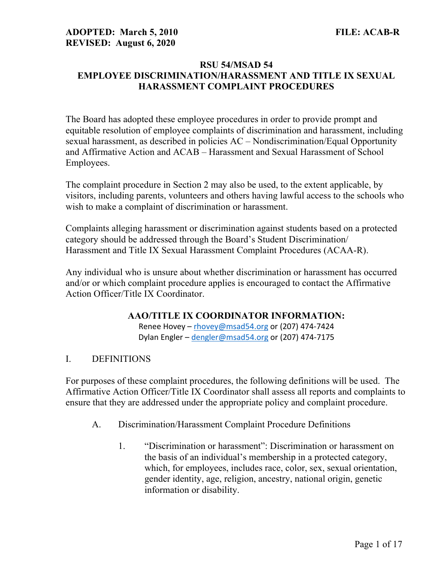#### RSU 54/MSAD 54 EMPLOYEE DISCRIMINATION/HARASSMENT AND TITLE IX SEXUAL HARASSMENT COMPLAINT PROCEDURES

The Board has adopted these employee procedures in order to provide prompt and equitable resolution of employee complaints of discrimination and harassment, including sexual harassment, as described in policies AC – Nondiscrimination/Equal Opportunity and Affirmative Action and ACAB – Harassment and Sexual Harassment of School Employees.

The complaint procedure in Section 2 may also be used, to the extent applicable, by visitors, including parents, volunteers and others having lawful access to the schools who wish to make a complaint of discrimination or harassment.

Complaints alleging harassment or discrimination against students based on a protected category should be addressed through the Board's Student Discrimination/ Harassment and Title IX Sexual Harassment Complaint Procedures (ACAA-R).

Any individual who is unsure about whether discrimination or harassment has occurred and/or or which complaint procedure applies is encouraged to contact the Affirmative Action Officer/Title IX Coordinator.

#### AAO/TITLE IX COORDINATOR INFORMATION:

Renee Hovey – rhovey@msad54.org or (207) 474-7424 Dylan Engler - dengler@msad54.org or (207) 474-7175

# I. DEFINITIONS

For purposes of these complaint procedures, the following definitions will be used. The Affirmative Action Officer/Title IX Coordinator shall assess all reports and complaints to ensure that they are addressed under the appropriate policy and complaint procedure.

- A. Discrimination/Harassment Complaint Procedure Definitions
	- 1. "Discrimination or harassment": Discrimination or harassment on the basis of an individual's membership in a protected category, which, for employees, includes race, color, sex, sexual orientation, gender identity, age, religion, ancestry, national origin, genetic information or disability.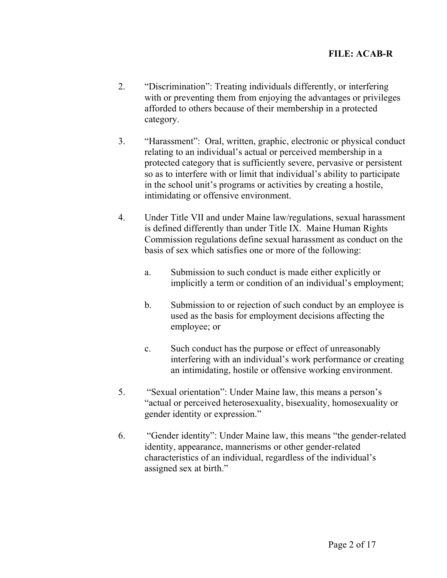- 2. "Discrimination": Treating individuals differently, or interfering with or preventing them from enjoying the advantages or privileges afforded to others because of their membership in a protected category.
- 3. "Harassment": Oral, written, graphic, electronic or physical conduct relating to an individual's actual or perceived membership in a protected category that is sufficiently severe, pervasive or persistent so as to interfere with or limit that individual's ability to participate in the school unit's programs or activities by creating a hostile, intimidating or offensive environment.
- 4. Under Title VII and under Maine law/regulations, sexual harassment is defined differently than under Title IX. Maine Human Rights Commission regulations define sexual harassment as conduct on the basis of sex which satisfies one or more of the following:
	- a. Submission to such conduct is made either explicitly or implicitly a term or condition of an individual's employment;
	- b. Submission to or rejection of such conduct by an employee is used as the basis for employment decisions affecting the employee; or
	- c. Such conduct has the purpose or effect of unreasonably interfering with an individual's work performance or creating an intimidating, hostile or offensive working environment.
- 5. "Sexual orientation": Under Maine law, this means a person's "actual or perceived heterosexuality, bisexuality, homosexuality or gender identity or expression."
- 6. "Gender identity": Under Maine law, this means "the gender-related identity, appearance, mannerisms or other gender-related characteristics of an individual, regardless of the individual's assigned sex at birth."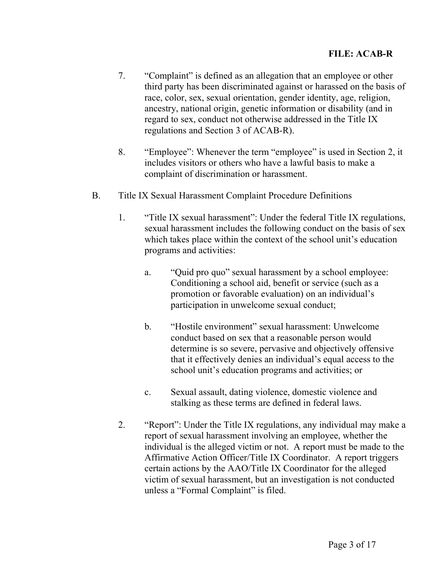- 7. "Complaint" is defined as an allegation that an employee or other third party has been discriminated against or harassed on the basis of race, color, sex, sexual orientation, gender identity, age, religion, ancestry, national origin, genetic information or disability (and in regard to sex, conduct not otherwise addressed in the Title IX regulations and Section 3 of ACAB-R).
- 8. "Employee": Whenever the term "employee" is used in Section 2, it includes visitors or others who have a lawful basis to make a complaint of discrimination or harassment.
- B. Title IX Sexual Harassment Complaint Procedure Definitions
	- 1. "Title IX sexual harassment": Under the federal Title IX regulations, sexual harassment includes the following conduct on the basis of sex which takes place within the context of the school unit's education programs and activities:
		- a. "Quid pro quo" sexual harassment by a school employee: Conditioning a school aid, benefit or service (such as a promotion or favorable evaluation) on an individual's participation in unwelcome sexual conduct;
		- b. "Hostile environment" sexual harassment: Unwelcome conduct based on sex that a reasonable person would determine is so severe, pervasive and objectively offensive that it effectively denies an individual's equal access to the school unit's education programs and activities; or
		- c. Sexual assault, dating violence, domestic violence and stalking as these terms are defined in federal laws.
	- 2. "Report": Under the Title IX regulations, any individual may make a report of sexual harassment involving an employee, whether the individual is the alleged victim or not. A report must be made to the Affirmative Action Officer/Title IX Coordinator. A report triggers certain actions by the AAO/Title IX Coordinator for the alleged victim of sexual harassment, but an investigation is not conducted unless a "Formal Complaint" is filed.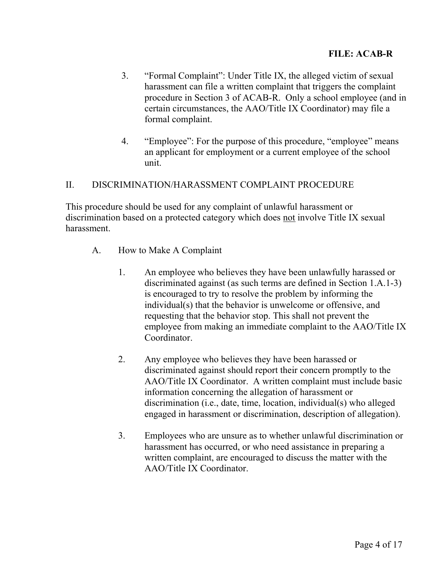- 3. "Formal Complaint": Under Title IX, the alleged victim of sexual harassment can file a written complaint that triggers the complaint procedure in Section 3 of ACAB-R. Only a school employee (and in certain circumstances, the AAO/Title IX Coordinator) may file a formal complaint.
- 4. "Employee": For the purpose of this procedure, "employee" means an applicant for employment or a current employee of the school unit.

# II. DISCRIMINATION/HARASSMENT COMPLAINT PROCEDURE

This procedure should be used for any complaint of unlawful harassment or discrimination based on a protected category which does not involve Title IX sexual harassment.

- A. How to Make A Complaint
	- 1. An employee who believes they have been unlawfully harassed or discriminated against (as such terms are defined in Section 1.A.1-3) is encouraged to try to resolve the problem by informing the individual(s) that the behavior is unwelcome or offensive, and requesting that the behavior stop. This shall not prevent the employee from making an immediate complaint to the AAO/Title IX Coordinator.
	- 2. Any employee who believes they have been harassed or discriminated against should report their concern promptly to the AAO/Title IX Coordinator. A written complaint must include basic information concerning the allegation of harassment or discrimination (i.e., date, time, location, individual(s) who alleged engaged in harassment or discrimination, description of allegation).
	- 3. Employees who are unsure as to whether unlawful discrimination or harassment has occurred, or who need assistance in preparing a written complaint, are encouraged to discuss the matter with the AAO/Title IX Coordinator.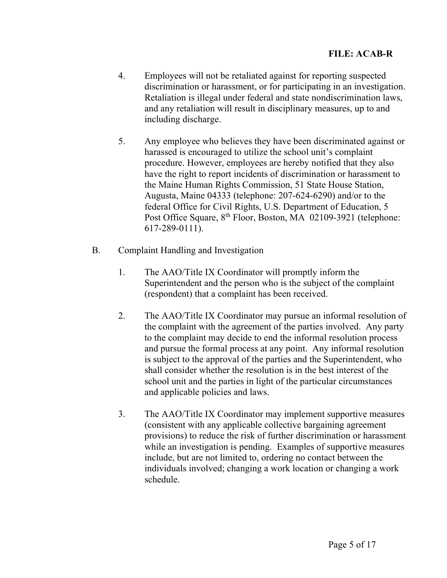- 4. Employees will not be retaliated against for reporting suspected discrimination or harassment, or for participating in an investigation. Retaliation is illegal under federal and state nondiscrimination laws, and any retaliation will result in disciplinary measures, up to and including discharge.
- 5. Any employee who believes they have been discriminated against or harassed is encouraged to utilize the school unit's complaint procedure. However, employees are hereby notified that they also have the right to report incidents of discrimination or harassment to the Maine Human Rights Commission, 51 State House Station, Augusta, Maine 04333 (telephone: 207-624-6290) and/or to the federal Office for Civil Rights, U.S. Department of Education, 5 Post Office Square, 8<sup>th</sup> Floor, Boston, MA 02109-3921 (telephone: 617-289-0111).
- B. Complaint Handling and Investigation
	- 1. The AAO/Title IX Coordinator will promptly inform the Superintendent and the person who is the subject of the complaint (respondent) that a complaint has been received.
	- 2. The AAO/Title IX Coordinator may pursue an informal resolution of the complaint with the agreement of the parties involved. Any party to the complaint may decide to end the informal resolution process and pursue the formal process at any point. Any informal resolution is subject to the approval of the parties and the Superintendent, who shall consider whether the resolution is in the best interest of the school unit and the parties in light of the particular circumstances and applicable policies and laws.
	- 3. The AAO/Title IX Coordinator may implement supportive measures (consistent with any applicable collective bargaining agreement provisions) to reduce the risk of further discrimination or harassment while an investigation is pending. Examples of supportive measures include, but are not limited to, ordering no contact between the individuals involved; changing a work location or changing a work schedule.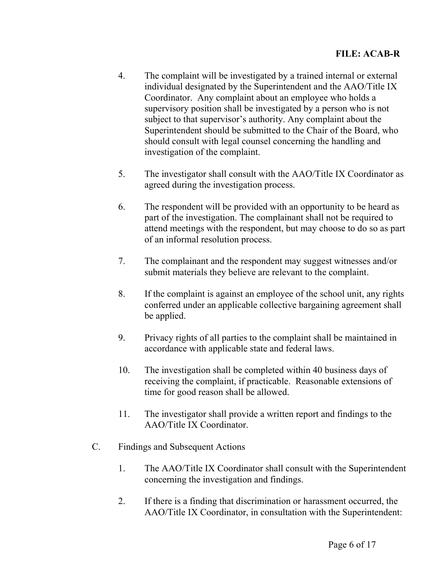- 4. The complaint will be investigated by a trained internal or external individual designated by the Superintendent and the AAO/Title IX Coordinator. Any complaint about an employee who holds a supervisory position shall be investigated by a person who is not subject to that supervisor's authority. Any complaint about the Superintendent should be submitted to the Chair of the Board, who should consult with legal counsel concerning the handling and investigation of the complaint.
- 5. The investigator shall consult with the AAO/Title IX Coordinator as agreed during the investigation process.
- 6. The respondent will be provided with an opportunity to be heard as part of the investigation. The complainant shall not be required to attend meetings with the respondent, but may choose to do so as part of an informal resolution process.
- 7. The complainant and the respondent may suggest witnesses and/or submit materials they believe are relevant to the complaint.
- 8. If the complaint is against an employee of the school unit, any rights conferred under an applicable collective bargaining agreement shall be applied.
- 9. Privacy rights of all parties to the complaint shall be maintained in accordance with applicable state and federal laws.
- 10. The investigation shall be completed within 40 business days of receiving the complaint, if practicable. Reasonable extensions of time for good reason shall be allowed.
- 11. The investigator shall provide a written report and findings to the AAO/Title IX Coordinator.
- C. Findings and Subsequent Actions
	- 1. The AAO/Title IX Coordinator shall consult with the Superintendent concerning the investigation and findings.
	- 2. If there is a finding that discrimination or harassment occurred, the AAO/Title IX Coordinator, in consultation with the Superintendent: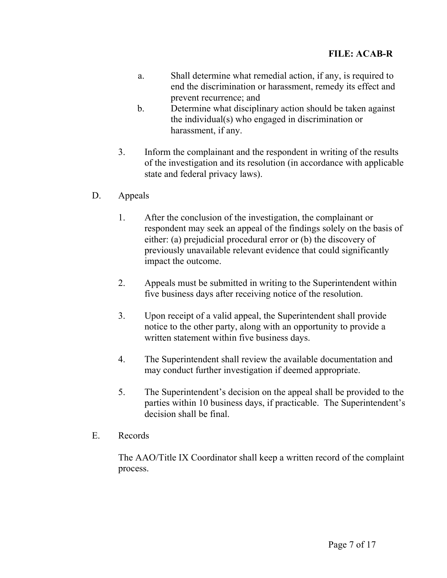- a. Shall determine what remedial action, if any, is required to end the discrimination or harassment, remedy its effect and prevent recurrence; and
- b. Determine what disciplinary action should be taken against the individual(s) who engaged in discrimination or harassment, if any.
- 3. Inform the complainant and the respondent in writing of the results of the investigation and its resolution (in accordance with applicable state and federal privacy laws).
- D. Appeals
	- 1. After the conclusion of the investigation, the complainant or respondent may seek an appeal of the findings solely on the basis of either: (a) prejudicial procedural error or (b) the discovery of previously unavailable relevant evidence that could significantly impact the outcome.
	- 2. Appeals must be submitted in writing to the Superintendent within five business days after receiving notice of the resolution.
	- 3. Upon receipt of a valid appeal, the Superintendent shall provide notice to the other party, along with an opportunity to provide a written statement within five business days.
	- 4. The Superintendent shall review the available documentation and may conduct further investigation if deemed appropriate.
	- 5. The Superintendent's decision on the appeal shall be provided to the parties within 10 business days, if practicable. The Superintendent's decision shall be final.
- E. Records

The AAO/Title IX Coordinator shall keep a written record of the complaint process.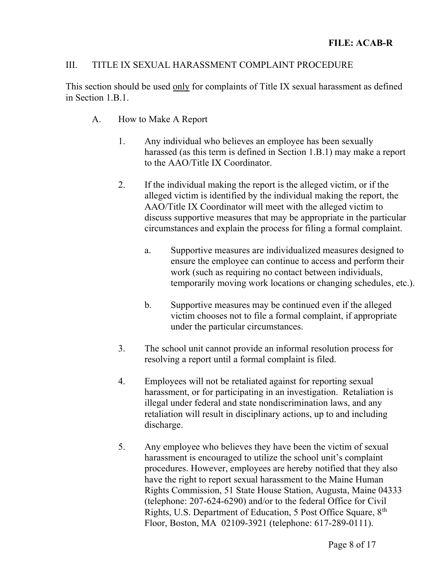# III. TITLE IX SEXUAL HARASSMENT COMPLAINT PROCEDURE

This section should be used only for complaints of Title IX sexual harassment as defined in Section 1.B.1.

- A. How to Make A Report
	- 1. Any individual who believes an employee has been sexually harassed (as this term is defined in Section 1.B.1) may make a report to the AAO/Title IX Coordinator.
	- 2. If the individual making the report is the alleged victim, or if the alleged victim is identified by the individual making the report, the AAO/Title IX Coordinator will meet with the alleged victim to discuss supportive measures that may be appropriate in the particular circumstances and explain the process for filing a formal complaint.
		- a. Supportive measures are individualized measures designed to ensure the employee can continue to access and perform their work (such as requiring no contact between individuals, temporarily moving work locations or changing schedules, etc.).
		- b. Supportive measures may be continued even if the alleged victim chooses not to file a formal complaint, if appropriate under the particular circumstances.
	- 3. The school unit cannot provide an informal resolution process for resolving a report until a formal complaint is filed.
	- 4. Employees will not be retaliated against for reporting sexual harassment, or for participating in an investigation. Retaliation is illegal under federal and state nondiscrimination laws, and any retaliation will result in disciplinary actions, up to and including discharge.
	- 5. Any employee who believes they have been the victim of sexual harassment is encouraged to utilize the school unit's complaint procedures. However, employees are hereby notified that they also have the right to report sexual harassment to the Maine Human Rights Commission, 51 State House Station, Augusta, Maine 04333 (telephone: 207-624-6290) and/or to the federal Office for Civil Rights, U.S. Department of Education, 5 Post Office Square, 8<sup>th</sup> Floor, Boston, MA 02109-3921 (telephone: 617-289-0111).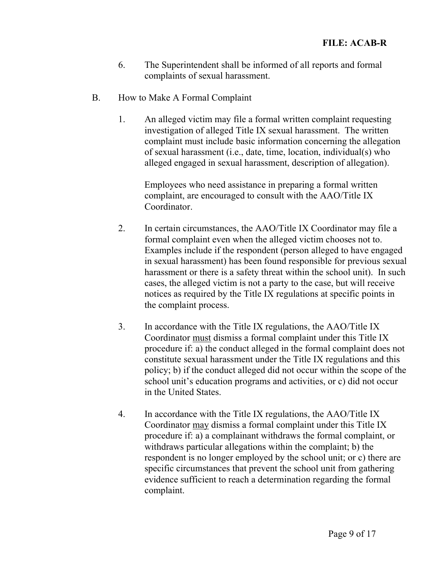- 6. The Superintendent shall be informed of all reports and formal complaints of sexual harassment.
- B. How to Make A Formal Complaint
	- 1. An alleged victim may file a formal written complaint requesting investigation of alleged Title IX sexual harassment. The written complaint must include basic information concerning the allegation of sexual harassment (i.e., date, time, location, individual(s) who alleged engaged in sexual harassment, description of allegation).

 Employees who need assistance in preparing a formal written complaint, are encouraged to consult with the AAO/Title IX Coordinator.

- 2. In certain circumstances, the AAO/Title IX Coordinator may file a formal complaint even when the alleged victim chooses not to. Examples include if the respondent (person alleged to have engaged in sexual harassment) has been found responsible for previous sexual harassment or there is a safety threat within the school unit). In such cases, the alleged victim is not a party to the case, but will receive notices as required by the Title IX regulations at specific points in the complaint process.
- 3. In accordance with the Title IX regulations, the AAO/Title IX Coordinator must dismiss a formal complaint under this Title IX procedure if: a) the conduct alleged in the formal complaint does not constitute sexual harassment under the Title IX regulations and this policy; b) if the conduct alleged did not occur within the scope of the school unit's education programs and activities, or c) did not occur in the United States.
- 4. In accordance with the Title IX regulations, the AAO/Title IX Coordinator may dismiss a formal complaint under this Title IX procedure if: a) a complainant withdraws the formal complaint, or withdraws particular allegations within the complaint; b) the respondent is no longer employed by the school unit; or c) there are specific circumstances that prevent the school unit from gathering evidence sufficient to reach a determination regarding the formal complaint.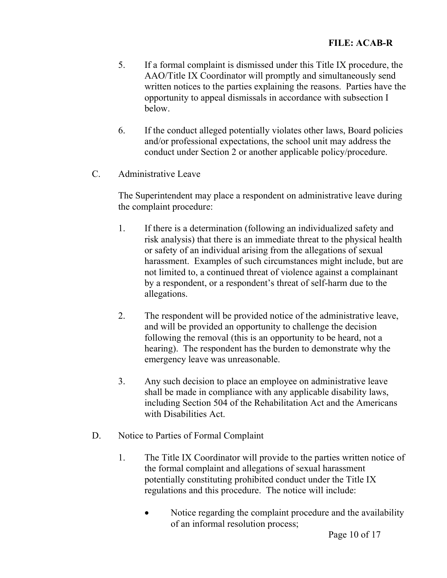- 5. If a formal complaint is dismissed under this Title IX procedure, the AAO/Title IX Coordinator will promptly and simultaneously send written notices to the parties explaining the reasons. Parties have the opportunity to appeal dismissals in accordance with subsection I below.
- 6. If the conduct alleged potentially violates other laws, Board policies and/or professional expectations, the school unit may address the conduct under Section 2 or another applicable policy/procedure.
- C. Administrative Leave

The Superintendent may place a respondent on administrative leave during the complaint procedure:

- 1. If there is a determination (following an individualized safety and risk analysis) that there is an immediate threat to the physical health or safety of an individual arising from the allegations of sexual harassment. Examples of such circumstances might include, but are not limited to, a continued threat of violence against a complainant by a respondent, or a respondent's threat of self-harm due to the allegations.
- 2. The respondent will be provided notice of the administrative leave, and will be provided an opportunity to challenge the decision following the removal (this is an opportunity to be heard, not a hearing). The respondent has the burden to demonstrate why the emergency leave was unreasonable.
- 3. Any such decision to place an employee on administrative leave shall be made in compliance with any applicable disability laws, including Section 504 of the Rehabilitation Act and the Americans with Disabilities Act.
- D. Notice to Parties of Formal Complaint
	- 1. The Title IX Coordinator will provide to the parties written notice of the formal complaint and allegations of sexual harassment potentially constituting prohibited conduct under the Title IX regulations and this procedure. The notice will include:
		- Notice regarding the complaint procedure and the availability of an informal resolution process;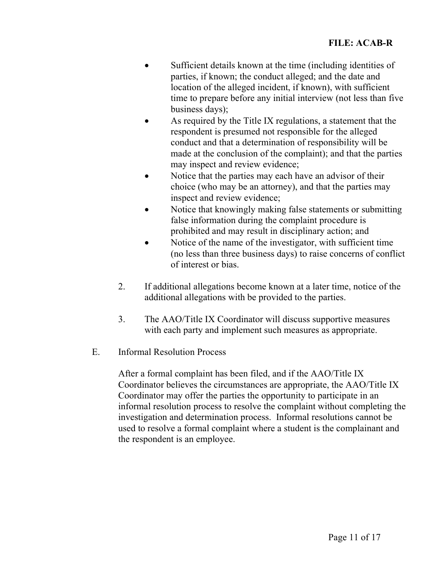- Sufficient details known at the time (including identities of parties, if known; the conduct alleged; and the date and location of the alleged incident, if known), with sufficient time to prepare before any initial interview (not less than five business days);
- As required by the Title IX regulations, a statement that the respondent is presumed not responsible for the alleged conduct and that a determination of responsibility will be made at the conclusion of the complaint); and that the parties may inspect and review evidence;
- Notice that the parties may each have an advisor of their choice (who may be an attorney), and that the parties may inspect and review evidence;
- Notice that knowingly making false statements or submitting false information during the complaint procedure is prohibited and may result in disciplinary action; and
- Notice of the name of the investigator, with sufficient time (no less than three business days) to raise concerns of conflict of interest or bias.
- 2. If additional allegations become known at a later time, notice of the additional allegations with be provided to the parties.
- 3. The AAO/Title IX Coordinator will discuss supportive measures with each party and implement such measures as appropriate.
- E. Informal Resolution Process

After a formal complaint has been filed, and if the AAO/Title IX Coordinator believes the circumstances are appropriate, the AAO/Title IX Coordinator may offer the parties the opportunity to participate in an informal resolution process to resolve the complaint without completing the investigation and determination process. Informal resolutions cannot be used to resolve a formal complaint where a student is the complainant and the respondent is an employee.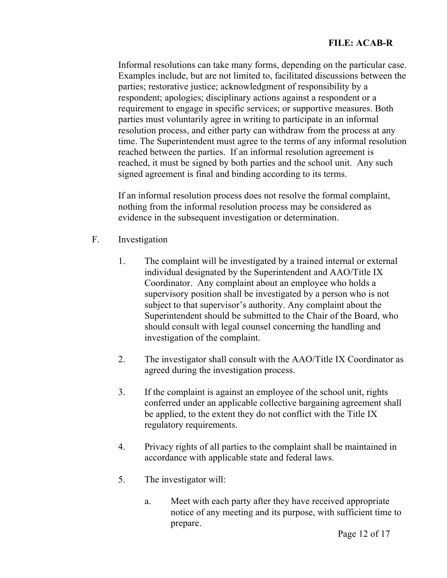Informal resolutions can take many forms, depending on the particular case. Examples include, but are not limited to, facilitated discussions between the parties; restorative justice; acknowledgment of responsibility by a respondent; apologies; disciplinary actions against a respondent or a requirement to engage in specific services; or supportive measures. Both parties must voluntarily agree in writing to participate in an informal resolution process, and either party can withdraw from the process at any time. The Superintendent must agree to the terms of any informal resolution reached between the parties. If an informal resolution agreement is reached, it must be signed by both parties and the school unit. Any such signed agreement is final and binding according to its terms.

If an informal resolution process does not resolve the formal complaint, nothing from the informal resolution process may be considered as evidence in the subsequent investigation or determination.

- F. Investigation
	- 1. The complaint will be investigated by a trained internal or external individual designated by the Superintendent and AAO/Title IX Coordinator. Any complaint about an employee who holds a supervisory position shall be investigated by a person who is not subject to that supervisor's authority. Any complaint about the Superintendent should be submitted to the Chair of the Board, who should consult with legal counsel concerning the handling and investigation of the complaint.
	- 2. The investigator shall consult with the AAO/Title IX Coordinator as agreed during the investigation process.
	- 3. If the complaint is against an employee of the school unit, rights conferred under an applicable collective bargaining agreement shall be applied, to the extent they do not conflict with the Title IX regulatory requirements.
	- 4. Privacy rights of all parties to the complaint shall be maintained in accordance with applicable state and federal laws.
	- 5. The investigator will:
		- a. Meet with each party after they have received appropriate notice of any meeting and its purpose, with sufficient time to prepare.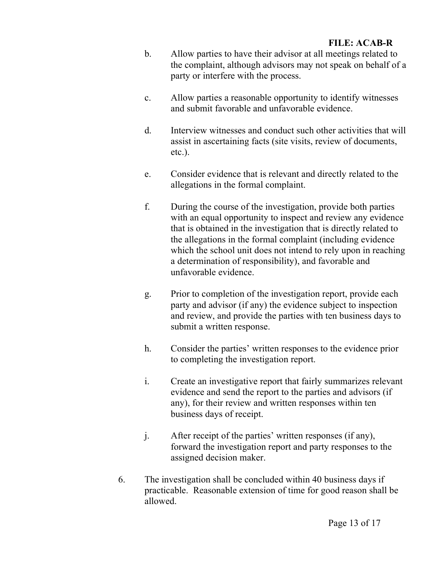- b. Allow parties to have their advisor at all meetings related to the complaint, although advisors may not speak on behalf of a party or interfere with the process.
- c. Allow parties a reasonable opportunity to identify witnesses and submit favorable and unfavorable evidence.
- d. Interview witnesses and conduct such other activities that will assist in ascertaining facts (site visits, review of documents, etc.).
- e. Consider evidence that is relevant and directly related to the allegations in the formal complaint.
- f. During the course of the investigation, provide both parties with an equal opportunity to inspect and review any evidence that is obtained in the investigation that is directly related to the allegations in the formal complaint (including evidence which the school unit does not intend to rely upon in reaching a determination of responsibility), and favorable and unfavorable evidence.
- g. Prior to completion of the investigation report, provide each party and advisor (if any) the evidence subject to inspection and review, and provide the parties with ten business days to submit a written response.
- h. Consider the parties' written responses to the evidence prior to completing the investigation report.
- i. Create an investigative report that fairly summarizes relevant evidence and send the report to the parties and advisors (if any), for their review and written responses within ten business days of receipt.
- j. After receipt of the parties' written responses (if any), forward the investigation report and party responses to the assigned decision maker.
- 6. The investigation shall be concluded within 40 business days if practicable. Reasonable extension of time for good reason shall be allowed.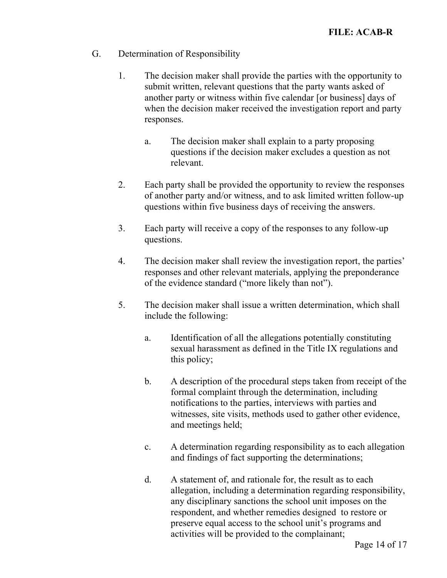- G. Determination of Responsibility
	- 1. The decision maker shall provide the parties with the opportunity to submit written, relevant questions that the party wants asked of another party or witness within five calendar [or business] days of when the decision maker received the investigation report and party responses.
		- a. The decision maker shall explain to a party proposing questions if the decision maker excludes a question as not relevant.
	- 2. Each party shall be provided the opportunity to review the responses of another party and/or witness, and to ask limited written follow-up questions within five business days of receiving the answers.
	- 3. Each party will receive a copy of the responses to any follow-up questions.
	- 4. The decision maker shall review the investigation report, the parties' responses and other relevant materials, applying the preponderance of the evidence standard ("more likely than not").
	- 5. The decision maker shall issue a written determination, which shall include the following:
		- a. Identification of all the allegations potentially constituting sexual harassment as defined in the Title IX regulations and this policy;
		- b. A description of the procedural steps taken from receipt of the formal complaint through the determination, including notifications to the parties, interviews with parties and witnesses, site visits, methods used to gather other evidence, and meetings held;
		- c. A determination regarding responsibility as to each allegation and findings of fact supporting the determinations;
		- d. A statement of, and rationale for, the result as to each allegation, including a determination regarding responsibility, any disciplinary sanctions the school unit imposes on the respondent, and whether remedies designed to restore or preserve equal access to the school unit's programs and activities will be provided to the complainant;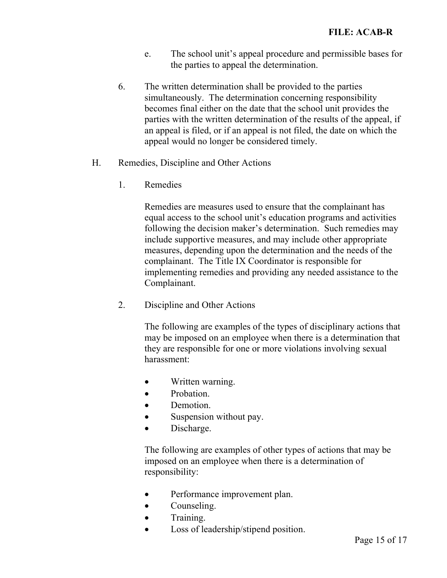- e. The school unit's appeal procedure and permissible bases for the parties to appeal the determination.
- 6. The written determination shall be provided to the parties simultaneously. The determination concerning responsibility becomes final either on the date that the school unit provides the parties with the written determination of the results of the appeal, if an appeal is filed, or if an appeal is not filed, the date on which the appeal would no longer be considered timely.
- H. Remedies, Discipline and Other Actions
	- 1. Remedies

Remedies are measures used to ensure that the complainant has equal access to the school unit's education programs and activities following the decision maker's determination. Such remedies may include supportive measures, and may include other appropriate measures, depending upon the determination and the needs of the complainant. The Title IX Coordinator is responsible for implementing remedies and providing any needed assistance to the Complainant.

2. Discipline and Other Actions

The following are examples of the types of disciplinary actions that may be imposed on an employee when there is a determination that they are responsible for one or more violations involving sexual harassment:

- Written warning.
- Probation.
- Demotion.
- Suspension without pay.
- Discharge.

The following are examples of other types of actions that may be imposed on an employee when there is a determination of responsibility:

- Performance improvement plan.
- Counseling.
- **•** Training.
- Loss of leadership/stipend position.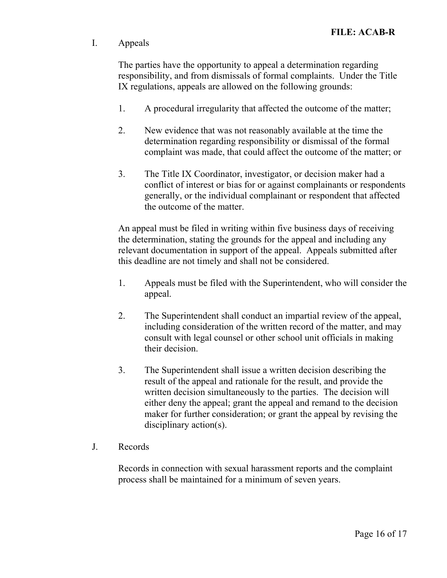# I. Appeals

The parties have the opportunity to appeal a determination regarding responsibility, and from dismissals of formal complaints. Under the Title IX regulations, appeals are allowed on the following grounds:

- 1. A procedural irregularity that affected the outcome of the matter;
- 2. New evidence that was not reasonably available at the time the determination regarding responsibility or dismissal of the formal complaint was made, that could affect the outcome of the matter; or
- 3. The Title IX Coordinator, investigator, or decision maker had a conflict of interest or bias for or against complainants or respondents generally, or the individual complainant or respondent that affected the outcome of the matter.

An appeal must be filed in writing within five business days of receiving the determination, stating the grounds for the appeal and including any relevant documentation in support of the appeal. Appeals submitted after this deadline are not timely and shall not be considered.

- 1. Appeals must be filed with the Superintendent, who will consider the appeal.
- 2. The Superintendent shall conduct an impartial review of the appeal, including consideration of the written record of the matter, and may consult with legal counsel or other school unit officials in making their decision.
- 3. The Superintendent shall issue a written decision describing the result of the appeal and rationale for the result, and provide the written decision simultaneously to the parties. The decision will either deny the appeal; grant the appeal and remand to the decision maker for further consideration; or grant the appeal by revising the disciplinary action(s).
- J. Records

Records in connection with sexual harassment reports and the complaint process shall be maintained for a minimum of seven years.